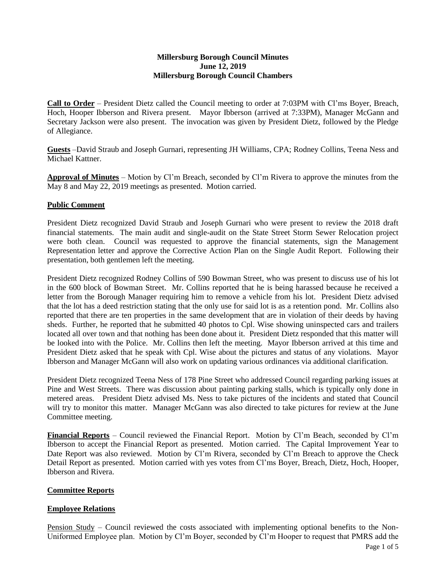## **Millersburg Borough Council Minutes June 12, 2019 Millersburg Borough Council Chambers**

**Call to Order** – President Dietz called the Council meeting to order at 7:03PM with Cl'ms Boyer, Breach, Hoch, Hooper Ibberson and Rivera present. Mayor Ibberson (arrived at 7:33PM), Manager McGann and Secretary Jackson were also present. The invocation was given by President Dietz, followed by the Pledge of Allegiance.

**Guests** –David Straub and Joseph Gurnari, representing JH Williams, CPA; Rodney Collins, Teena Ness and Michael Kattner.

**Approval of Minutes** – Motion by Cl'm Breach, seconded by Cl'm Rivera to approve the minutes from the May 8 and May 22, 2019 meetings as presented. Motion carried.

## **Public Comment**

President Dietz recognized David Straub and Joseph Gurnari who were present to review the 2018 draft financial statements. The main audit and single-audit on the State Street Storm Sewer Relocation project were both clean. Council was requested to approve the financial statements, sign the Management Representation letter and approve the Corrective Action Plan on the Single Audit Report. Following their presentation, both gentlemen left the meeting.

President Dietz recognized Rodney Collins of 590 Bowman Street, who was present to discuss use of his lot in the 600 block of Bowman Street. Mr. Collins reported that he is being harassed because he received a letter from the Borough Manager requiring him to remove a vehicle from his lot. President Dietz advised that the lot has a deed restriction stating that the only use for said lot is as a retention pond. Mr. Collins also reported that there are ten properties in the same development that are in violation of their deeds by having sheds. Further, he reported that he submitted 40 photos to Cpl. Wise showing uninspected cars and trailers located all over town and that nothing has been done about it. President Dietz responded that this matter will be looked into with the Police. Mr. Collins then left the meeting. Mayor Ibberson arrived at this time and President Dietz asked that he speak with Cpl. Wise about the pictures and status of any violations. Mayor Ibberson and Manager McGann will also work on updating various ordinances via additional clarification.

President Dietz recognized Teena Ness of 178 Pine Street who addressed Council regarding parking issues at Pine and West Streets. There was discussion about painting parking stalls, which is typically only done in metered areas. President Dietz advised Ms. Ness to take pictures of the incidents and stated that Council will try to monitor this matter. Manager McGann was also directed to take pictures for review at the June Committee meeting.

**Financial Reports** – Council reviewed the Financial Report. Motion by Cl'm Beach, seconded by Cl'm Ibberson to accept the Financial Report as presented. Motion carried. The Capital Improvement Year to Date Report was also reviewed. Motion by Cl'm Rivera, seconded by Cl'm Breach to approve the Check Detail Report as presented. Motion carried with yes votes from Cl'ms Boyer, Breach, Dietz, Hoch, Hooper, Ibberson and Rivera.

## **Committee Reports**

## **Employee Relations**

Pension Study – Council reviewed the costs associated with implementing optional benefits to the Non-Uniformed Employee plan. Motion by Cl'm Boyer, seconded by Cl'm Hooper to request that PMRS add the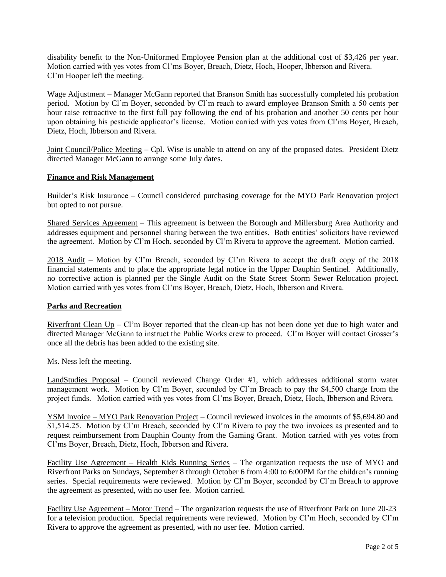disability benefit to the Non-Uniformed Employee Pension plan at the additional cost of \$3,426 per year. Motion carried with yes votes from Cl'ms Boyer, Breach, Dietz, Hoch, Hooper, Ibberson and Rivera. Cl'm Hooper left the meeting.

Wage Adjustment – Manager McGann reported that Branson Smith has successfully completed his probation period. Motion by Cl'm Boyer, seconded by Cl'm reach to award employee Branson Smith a 50 cents per hour raise retroactive to the first full pay following the end of his probation and another 50 cents per hour upon obtaining his pesticide applicator's license. Motion carried with yes votes from Cl'ms Boyer, Breach, Dietz, Hoch, Ibberson and Rivera.

Joint Council/Police Meeting – Cpl. Wise is unable to attend on any of the proposed dates. President Dietz directed Manager McGann to arrange some July dates.

## **Finance and Risk Management**

Builder's Risk Insurance – Council considered purchasing coverage for the MYO Park Renovation project but opted to not pursue.

Shared Services Agreement – This agreement is between the Borough and Millersburg Area Authority and addresses equipment and personnel sharing between the two entities. Both entities' solicitors have reviewed the agreement. Motion by Cl'm Hoch, seconded by Cl'm Rivera to approve the agreement. Motion carried.

2018 Audit – Motion by Cl'm Breach, seconded by Cl'm Rivera to accept the draft copy of the 2018 financial statements and to place the appropriate legal notice in the Upper Dauphin Sentinel. Additionally, no corrective action is planned per the Single Audit on the State Street Storm Sewer Relocation project. Motion carried with yes votes from Cl'ms Boyer, Breach, Dietz, Hoch, Ibberson and Rivera.

## **Parks and Recreation**

Riverfront Clean  $Up - Cl$ 'm Boyer reported that the clean-up has not been done yet due to high water and directed Manager McGann to instruct the Public Works crew to proceed. Cl'm Boyer will contact Grosser's once all the debris has been added to the existing site.

Ms. Ness left the meeting.

LandStudies Proposal – Council reviewed Change Order #1, which addresses additional storm water management work. Motion by Cl'm Boyer, seconded by Cl'm Breach to pay the \$4,500 charge from the project funds. Motion carried with yes votes from Cl'ms Boyer, Breach, Dietz, Hoch, Ibberson and Rivera.

YSM Invoice – MYO Park Renovation Project – Council reviewed invoices in the amounts of \$5,694.80 and \$1,514.25. Motion by Cl'm Breach, seconded by Cl'm Rivera to pay the two invoices as presented and to request reimbursement from Dauphin County from the Gaming Grant. Motion carried with yes votes from Cl'ms Boyer, Breach, Dietz, Hoch, Ibberson and Rivera.

Facility Use Agreement – Health Kids Running Series – The organization requests the use of MYO and Riverfront Parks on Sundays, September 8 through October 6 from 4:00 to 6:00PM for the children's running series. Special requirements were reviewed. Motion by Cl'm Boyer, seconded by Cl'm Breach to approve the agreement as presented, with no user fee. Motion carried.

Facility Use Agreement – Motor Trend – The organization requests the use of Riverfront Park on June 20-23 for a television production. Special requirements were reviewed. Motion by Cl'm Hoch, seconded by Cl'm Rivera to approve the agreement as presented, with no user fee. Motion carried.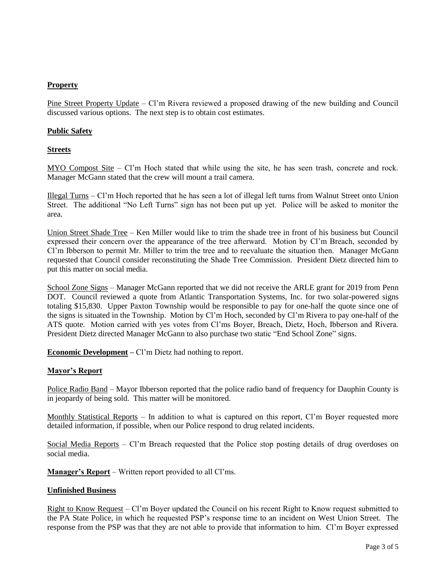# **Property**

Pine Street Property Update – Cl'm Rivera reviewed a proposed drawing of the new building and Council discussed various options. The next step is to obtain cost estimates.

## **Public Safety**

### **Streets**

MYO Compost Site – Cl'm Hoch stated that while using the site, he has seen trash, concrete and rock. Manager McGann stated that the crew will mount a trail camera.

Illegal Turns – Cl'm Hoch reported that he has seen a lot of illegal left turns from Walnut Street onto Union Street. The additional "No Left Turns" sign has not been put up yet. Police will be asked to monitor the area.

Union Street Shade Tree – Ken Miller would like to trim the shade tree in front of his business but Council expressed their concern over the appearance of the tree afterward. Motion by Cl'm Breach, seconded by Cl'm Ibberson to permit Mr. Miller to trim the tree and to reevaluate the situation then. Manager McGann requested that Council consider reconstituting the Shade Tree Commission. President Dietz directed him to put this matter on social media.

School Zone Signs – Manager McGann reported that we did not receive the ARLE grant for 2019 from Penn DOT. Council reviewed a quote from Atlantic Transportation Systems, Inc. for two solar-powered signs totaling \$15,830. Upper Paxton Township would be responsible to pay for one-half the quote since one of the signs is situated in the Township. Motion by Cl'm Hoch, seconded by Cl'm Rivera to pay one-half of the ATS quote. Motion carried with yes votes from Cl'ms Boyer, Breach, Dietz, Hoch, Ibberson and Rivera. President Dietz directed Manager McGann to also purchase two static "End School Zone" signs.

**Economic Development –** Cl'm Dietz had nothing to report.

## **Mayor's Report**

Police Radio Band – Mayor Ibberson reported that the police radio band of frequency for Dauphin County is in jeopardy of being sold. This matter will be monitored.

Monthly Statistical Reports – In addition to what is captured on this report, Cl'm Boyer requested more detailed information, if possible, when our Police respond to drug related incidents.

Social Media Reports – Cl'm Breach requested that the Police stop posting details of drug overdoses on social media.

**Manager's Report** – Written report provided to all Cl'ms.

#### **Unfinished Business**

Right to Know Request – Cl'm Boyer updated the Council on his recent Right to Know request submitted to the PA State Police, in which he requested PSP's response time to an incident on West Union Street. The response from the PSP was that they are not able to provide that information to him. Cl'm Boyer expressed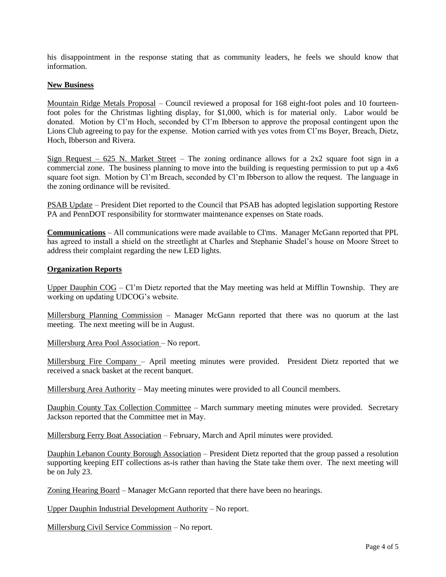his disappointment in the response stating that as community leaders, he feels we should know that information.

## **New Business**

Mountain Ridge Metals Proposal – Council reviewed a proposal for 168 eight-foot poles and 10 fourteenfoot poles for the Christmas lighting display, for \$1,000, which is for material only. Labor would be donated. Motion by Cl'm Hoch, seconded by Cl'm Ibberson to approve the proposal contingent upon the Lions Club agreeing to pay for the expense. Motion carried with yes votes from Cl'ms Boyer, Breach, Dietz, Hoch, Ibberson and Rivera.

Sign Request – 625 N. Market Street – The zoning ordinance allows for a 2x2 square foot sign in a commercial zone. The business planning to move into the building is requesting permission to put up a 4x6 square foot sign. Motion by Cl'm Breach, seconded by Cl'm Ibberson to allow the request. The language in the zoning ordinance will be revisited.

PSAB Update – President Diet reported to the Council that PSAB has adopted legislation supporting Restore PA and PennDOT responsibility for stormwater maintenance expenses on State roads.

**Communications** – All communications were made available to Cl'ms. Manager McGann reported that PPL has agreed to install a shield on the streetlight at Charles and Stephanie Shadel's house on Moore Street to address their complaint regarding the new LED lights.

#### **Organization Reports**

Upper Dauphin COG – Cl'm Dietz reported that the May meeting was held at Mifflin Township. They are working on updating UDCOG's website.

Millersburg Planning Commission – Manager McGann reported that there was no quorum at the last meeting. The next meeting will be in August.

Millersburg Area Pool Association – No report.

Millersburg Fire Company – April meeting minutes were provided. President Dietz reported that we received a snack basket at the recent banquet.

Millersburg Area Authority – May meeting minutes were provided to all Council members.

Dauphin County Tax Collection Committee – March summary meeting minutes were provided. Secretary Jackson reported that the Committee met in May.

Millersburg Ferry Boat Association – February, March and April minutes were provided.

Dauphin Lebanon County Borough Association – President Dietz reported that the group passed a resolution supporting keeping EIT collections as-is rather than having the State take them over. The next meeting will be on July 23.

Zoning Hearing Board – Manager McGann reported that there have been no hearings.

Upper Dauphin Industrial Development Authority – No report.

Millersburg Civil Service Commission – No report.